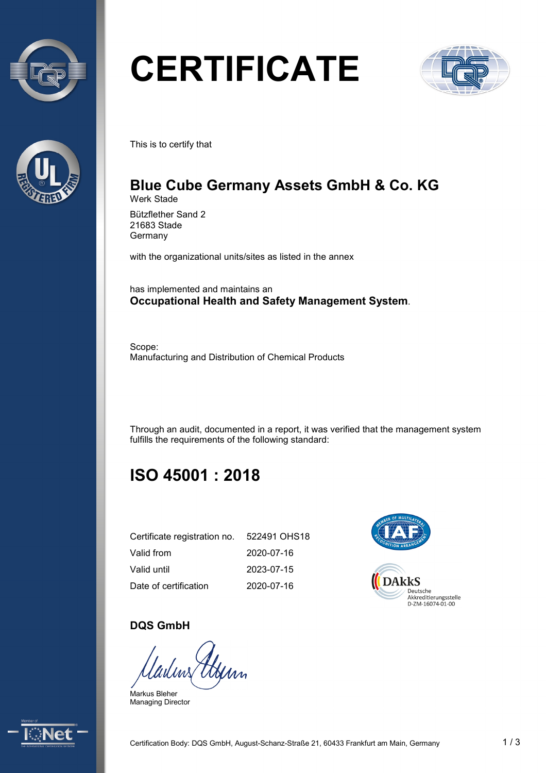



# **CERTIFICATE**



This is to certify that

## **Blue Cube Germany Assets GmbH & Co. KG** Werk Stade

Bützflether Sand 2 21683 Stade Germany

with the organizational units/sites as listed in the annex

has implemented and maintains an **Occupational Health and Safety Management System**.

Scope: Manufacturing and Distribution of Chemical Products

Through an audit, documented in a report, it was verified that the management system fulfills the requirements of the following standard:

## **ISO 45001 : 2018**

| Certificate registration no. | 522491 OHS18 |
|------------------------------|--------------|
| Valid from                   | 2020-07-16   |
| Valid until                  | 2023-07-15   |
| Date of certification        | 2020-07-16   |



## **DQS GmbH**

Markus Bleher Managing Director

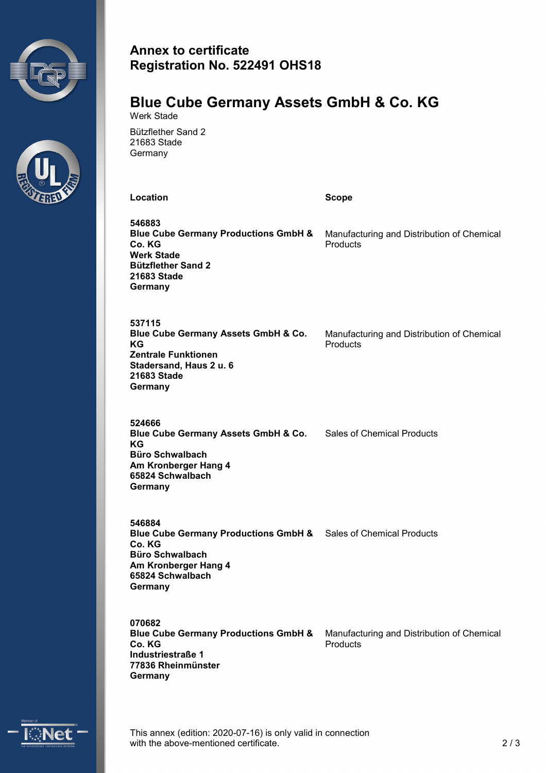



## **Annex to certificate Registration No. 522491 OHS18**

#### **Blue Cube Germany Assets GmbH & Co. KG** Werk Stade

Bützflether Sand 2 21683 Stade **Germany** 

**Location Scope**

**546883 Blue Cube Germany Productions GmbH & Co. KG Werk Stade Bützflether Sand 2 21683 Stade Germany** Manufacturing and Distribution of Chemical **Products** 

**537115 Blue Cube Germany Assets GmbH & Co. KG Zentrale Funktionen Stadersand, Haus 2 u. 6 21683 Stade Germany**

Manufacturing and Distribution of Chemical **Products** 

**524666 Blue Cube Germany Assets GmbH & Co.** Sales of Chemical Products **KG Büro Schwalbach Am Kronberger Hang 4 65824 Schwalbach Germany**

**546884 Blue Cube Germany Productions GmbH &** Sales of Chemical Products **Co. KG Büro Schwalbach Am Kronberger Hang 4 65824 Schwalbach Germany**

**070682 Blue Cube Germany Productions GmbH & Co. KG Industriestraße 1 77836 Rheinmünster Germany** Manufacturing and Distribution of Chemical **Products** 



This annex (edition: 2020-07-16) is only valid in connection with the above-mentioned certificate. 2/3